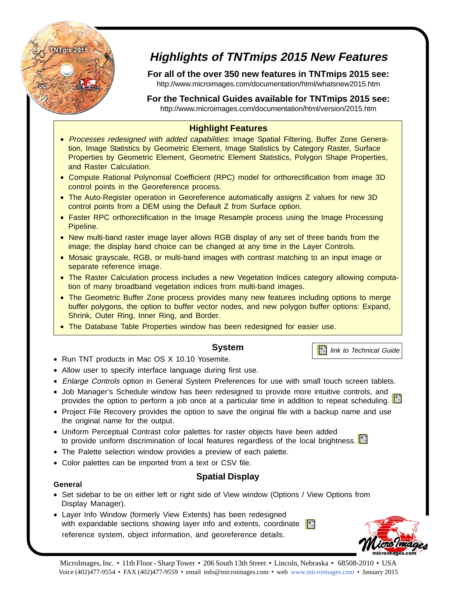

# **Highlights of TNTmips 2015 New Features**

**For all of the over 350 new features in TNTmips 2015 see:** http://www.microimages.com/documentation/html/whatsnew2015.htm

**For the Technical Guides available for TNTmips 2015 see:** http://www.microimages.com/documentation/html/version/2015.htm

# **Highlight Features**

- Processes redesigned with added capabilities: Image Spatial Filtering, Buffer Zone Generation, Image Statistics by Geometric Element, Image Statistics by Category Raster, Surface Properties by Geometric Element, Geometric Element Statistics, Polygon Shape Properties, and Raster Calculation.
- Compute Rational Polynomial Coefficient (RPC) model for orthorectification from image 3D control points in the Georeference process.
- The Auto-Register operation in Georeference automatically assigns Z values for new 3D control points from a DEM using the Default Z from Surface option.
- Faster RPC orthorectification in the Image Resample process using the Image Processing Pipeline.
- New multi-band raster image layer allows RGB display of any set of three bands from the image; the display band choice can be changed at any time in the Layer Controls.
- Mosaic grayscale, RGB, or multi-band images with contrast matching to an input image or separate reference image.
- The Raster Calculation process includes a new Vegetation Indices category allowing computation of many broadband vegetation indices from multi-band images.
- The Geometric Buffer Zone process provides many new features including options to merge buffer polygons, the option to buffer vector nodes, and new polygon buffer options: Expand, Shrink, Outer Ring, Inner Ring, and Border.
- The Database Table Properties window has been redesigned for easier use.

# **System**

- Run TNT products in Mac OS X 10.10 Yosemite.
- Allow user to specify interface language during first use.
- Enlarge Controls option in General System Preferences for use with small touch screen tablets.
- Job Manager's Schedule window has been redesigned to provide more intuitive controls, and provides the option to perform a job once at a particular time in addition to repeat scheduling.
- Project File Recovery provides the option to save the original file with a backup name and use the original name for the output.
- Uniform Perceptual Contrast color palettes for raster objects have been added to provide uniform discrimination of local features regardless of the local brightness.
- The Palette selection window provides a preview of each palette.
- Color palettes can be imported from a text or CSV file.

# **Spatial Display General**

- 
- Set sidebar to be on either left or right side of View window (Options / View Options from Display Manager).
- Layer Info Window (formerly View Extents) has been redesigned with expandable sections showing layer info and extents, coordinate reference system, object information, and georeference details.



link to Technical Guide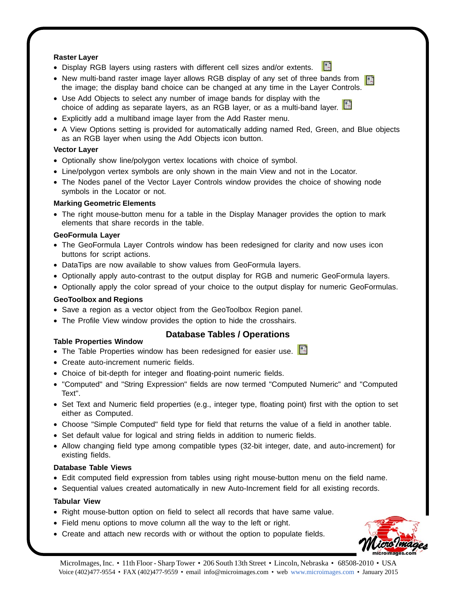#### **Raster Layer**

- Display RGB layers using rasters with different cell sizes and/or extents.
- New multi-band raster image layer allows RGB display of any set of three bands from  $\Box$ the image; the display band choice can be changed at any time in the Layer Controls.
- Use Add Objects to select any number of image bands for display with the choice of adding as separate layers, as an RGB layer, or as a multi-band layer.
- Explicitly add a multiband image layer from the Add Raster menu.
- A View Options setting is provided for automatically adding named Red, Green, and Blue objects as an RGB layer when using the Add Objects icon button.

#### **Vector Layer**

- Optionally show line/polygon vertex locations with choice of symbol.
- Line/polygon vertex symbols are only shown in the main View and not in the Locator.
- The Nodes panel of the Vector Layer Controls window provides the choice of showing node symbols in the Locator or not.

#### **Marking Geometric Elements**

• The right mouse-button menu for a table in the Display Manager provides the option to mark elements that share records in the table.

#### **GeoFormula Layer**

- The GeoFormula Layer Controls window has been redesigned for clarity and now uses icon buttons for script actions.
- DataTips are now available to show values from GeoFormula layers.
- Optionally apply auto-contrast to the output display for RGB and numeric GeoFormula layers.
- Optionally apply the color spread of your choice to the output display for numeric GeoFormulas.

#### **GeoToolbox and Regions**

- Save a region as a vector object from the GeoToolbox Region panel.
- The Profile View window provides the option to hide the crosshairs.

#### **Table Properties Window**

### **Database Tables / Operations**

- The Table Properties window has been redesigned for easier use.  $\Box$
- Create auto-increment numeric fields.
- Choice of bit-depth for integer and floating-point numeric fields.
- "Computed" and "String Expression" fields are now termed "Computed Numeric" and "Computed Text".
- Set Text and Numeric field properties (e.g., integer type, floating point) first with the option to set either as Computed.
- Choose "Simple Computed" field type for field that returns the value of a field in another table.
- Set default value for logical and string fields in addition to numeric fields.
- Allow changing field type among compatible types (32-bit integer, date, and auto-increment) for existing fields.

#### **Database Table Views**

- Edit computed field expression from tables using right mouse-button menu on the field name.
- Sequential values created automatically in new Auto-Increment field for all existing records.

#### **Tabular View**

- Right mouse-button option on field to select all records that have same value.
- Field menu options to move column all the way to the left or right.
- Create and attach new records with or without the option to populate fields.



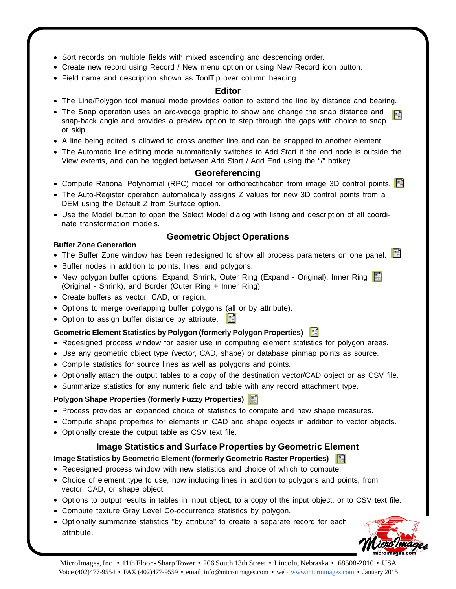- Sort records on multiple fields with mixed ascending and descending order.
- Create new record using Record / New menu option or using New Record icon button.
- Field name and description shown as ToolTip over column heading.

## **Editor**

- The Line/Polygon tool manual mode provides option to extend the line by distance and bearing.
- The Snap operation uses an arc-wedge graphic to show and change the snap distance and snap-back angle and provides a preview option to step through the gaps with choice to snap or skip.
- A line being edited is allowed to cross another line and can be snapped to another element.
- The Automatic line editing mode automatically switches to Add Start if the end node is outside the View extents, and can be toggled between Add Start / Add End using the "/" hotkey.

### **Georeferencing**

- Compute Rational Polynomial (RPC) model for orthorectification from image 3D control points.
- The Auto-Register operation automatically assigns Z values for new 3D control points from a DEM using the Default Z from Surface option.
- Use the Model button to open the Select Model dialog with listing and description of all coordinate transformation models.

#### **Buffer Zone Generation**

### **Geometric Object Operations**

- The Buffer Zone window has been redesigned to show all process parameters on one panel.
- Buffer nodes in addition to points, lines, and polygons.
- New polygon buffer options: Expand, Shrink, Outer Ring (Expand Original), Inner Ring (Original - Shrink), and Border (Outer Ring + Inner Ring).
- Create buffers as vector, CAD, or region.
- Options to merge overlapping buffer polygons (all or by attribute).
- 嚼 • Option to assign buffer distance by attribute.

### **Geometric Element Statistics by Polygon (formerly Polygon Properties)**

- Redesigned process window for easier use in computing element statistics for polygon areas.
- Use any geometric object type (vector, CAD, shape) or database pinmap points as source.
- Compile statistics for source lines as well as polygons and points.
- Optionally attach the output tables to a copy of the destination vector/CAD object or as CSV file.
- Summarize statistics for any numeric field and table with any record attachment type.

### **Polygon Shape Properties (formerly Fuzzy Properties)**

- Process provides an expanded choice of statistics to compute and new shape measures.
- Compute shape properties for elements in CAD and shape objects in addition to vector objects.
- Optionally create the output table as CSV text file.

# **Image Statistics and Surface Properties by Geometric Element**

#### **Image Statistics by Geometric Element (formerly Geometric Raster Properties)**

- Redesigned process window with new statistics and choice of which to compute.
- Choice of element type to use, now including lines in addition to polygons and points, from vector, CAD, or shape object.
- Options to output results in tables in input object, to a copy of the input object, or to CSV text file.
- Compute texture Gray Level Co-occurrence statistics by polygon.
- Optionally summarize statistics "by attribute" to create a separate record for each attribute.

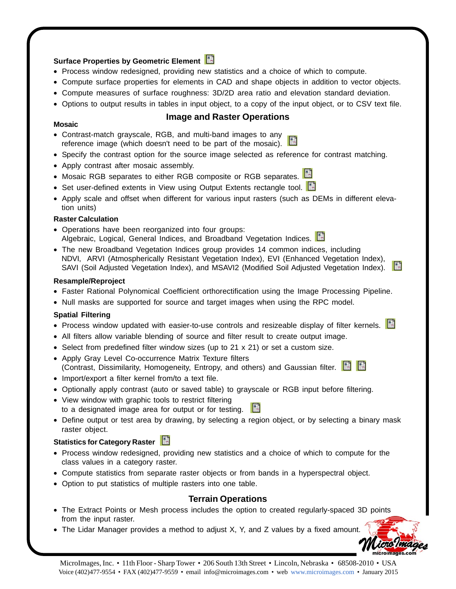### **Surface Properties by Geometric Element**

- Process window redesigned, providing new statistics and a choice of which to compute.
- Compute surface properties for elements in CAD and shape objects in addition to vector objects.
- Compute measures of surface roughness: 3D/2D area ratio and elevation standard deviation.
- Options to output results in tables in input object, to a copy of the input object, or to CSV text file.

# **Image and Raster Operations Mosaic**

- Contrast-match grayscale, RGB, and multi-band images to any reference image (which doesn't need to be part of the mosaic).
- Specify the contrast option for the source image selected as reference for contrast matching.
- Apply contrast after mosaic assembly.
- Mosaic RGB separates to either RGB composite or RGB separates.
- Set user-defined extents in View using Output Extents rectangle tool.
- Apply scale and offset when different for various input rasters (such as DEMs in different elevation units)

#### **Raster Calculation**

- Operations have been reorganized into four groups: Algebraic, Logical, General Indices, and Broadband Vegetation Indices.
- The new Broadband Vegetation Indices group provides 14 common indices, including NDVI, ARVI (Atmospherically Resistant Vegetation Index), EVI (Enhanced Vegetation Index), SAVI (Soil Adjusted Vegetation Index), and MSAVI2 (Modified Soil Adjusted Vegetation Index).

#### **Resample/Reproject**

- Faster Rational Polynomical Coefficient orthorectification using the Image Processing Pipeline.
- Null masks are supported for source and target images when using the RPC model.

#### **Spatial Filtering**

- Process window updated with easier-to-use controls and resizeable display of filter kernels.
- All filters allow variable blending of source and filter result to create output image.
- Select from predefined filter window sizes (up to 21 x 21) or set a custom size.
- Apply Gray Level Co-occurrence Matrix Texture filters (Contrast, Dissimilarity, Homogeneity, Entropy, and others) and Gaussian filter.
- Import/export a filter kernel from/to a text file.
- Optionally apply contrast (auto or saved table) to grayscale or RGB input before filtering.
- View window with graphic tools to restrict filtering
	- to a designated image area for output or for testing.
- Define output or test area by drawing, by selecting a region object, or by selecting a binary mask raster object.

#### **Statistics for Category Raster**

- Process window redesigned, providing new statistics and a choice of which to compute for the class values in a category raster.
- Compute statistics from separate raster objects or from bands in a hyperspectral object.
- Option to put statistics of multiple rasters into one table.

### **Terrain Operations**

- The Extract Points or Mesh process includes the option to created regularly-spaced 3D points from the input raster.
- The Lidar Manager provides a method to adjust X, Y, and Z values by a fixed amount.